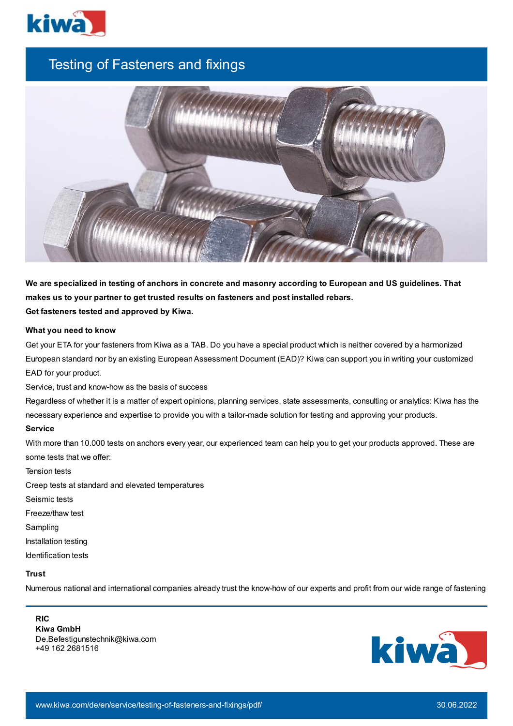

# Testing of Fasteners and fixings



We are specialized in testing of anchors in concrete and masonry according to European and US guidelines. That **makes us to your partner to get trusted results on fasteners and post installed rebars. Get fasteners tested and approved by Kiwa.**

#### **What you need to know**

Get your ETA for your fasteners from Kiwa as a TAB. Do you have a special product which is neither covered by a harmonized European standard nor by an existing EuropeanAssessment Document (EAD)? Kiwa can support you in writing your customized EAD for your product.

Service, trust and know-how as the basis of success

Regardless of whether it is a matter of expert opinions, planning services, state assessments, consulting or analytics: Kiwa has the necessary experience and expertise to provide you with a tailor-made solution for testing and approving your products.

## **Service**

With more than 10.000 tests on anchors every year, our experienced team can help you to get your products approved. These are some tests that we offer:

Tension tests

Creep tests at standard and elevated temperatures

Seismic tests

Freeze/thaw test

Sampling

Installation testing

Identification tests

# **Trust**

Numerous national and international companies already trust the know-how of our experts and profit from our wide range of fastening

### **RIC**

**Kiwa GmbH** De.Befestigunstechnik@kiwa.com +49 162 2681516